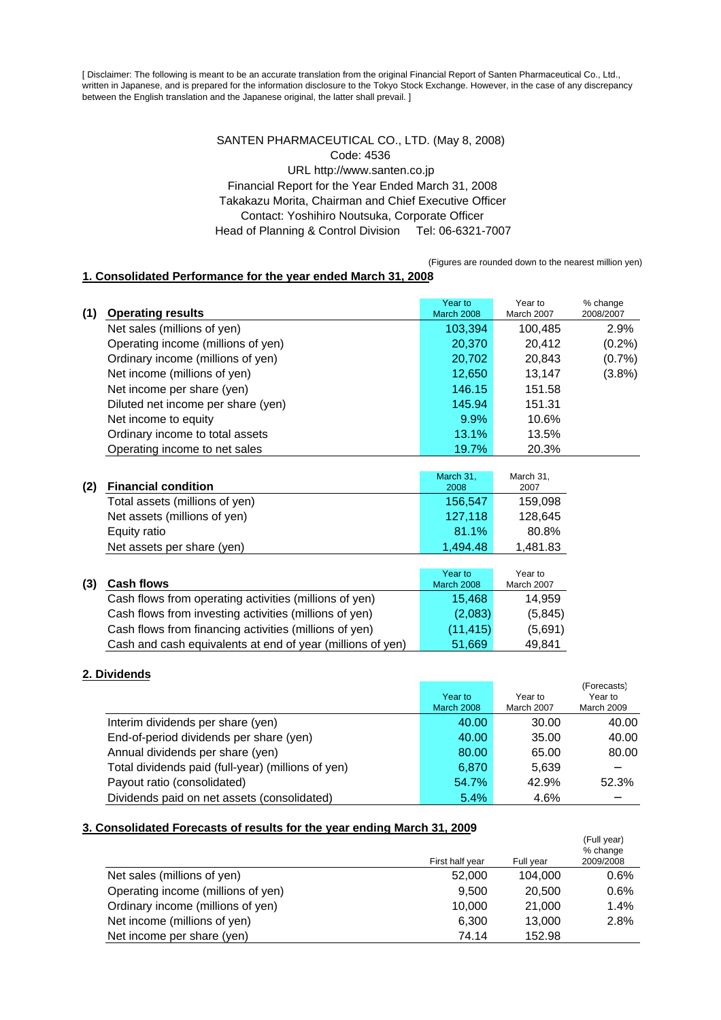[ Disclaimer: The following is meant to be an accurate translation from the original Financial Report of Santen Pharmaceutical Co., Ltd., written in Japanese, and is prepared for the information disclosure to the Tokyo Stock Exchange. However, in the case of any discrepancy between the English translation and the Japanese original, the latter shall prevail. ]

## SANTEN PHARMACEUTICAL CO., LTD. (May 8, 2008) Code: 4536 URL http://www.santen.co.jp Financial Report for the Year Ended March 31, 2008 Takakazu Morita, Chairman and Chief Executive Officer Contact: Yoshihiro Noutsuka, Corporate Officer Head of Planning & Control Division Tel: 06-6321-7007

(Figures are rounded down to the nearest million yen)

## **1. Consolidated Performance for the year ended March 31, 2008**

| (1) | <b>Operating results</b>           | Year to<br><b>March 2008</b> | Year to<br>March 2007 | % change<br>2008/2007 |
|-----|------------------------------------|------------------------------|-----------------------|-----------------------|
|     | Net sales (millions of yen)        | 103,394                      | 100,485               | 2.9%                  |
|     | Operating income (millions of yen) | 20,370                       | 20.412                | $(0.2\%)$             |
|     | Ordinary income (millions of yen)  | 20,702                       | 20,843                | (0.7%                 |
|     |                                    |                              |                       |                       |
|     | Net income (millions of yen)       | 12,650                       | 13.147                | (3.8%)                |
|     | Net income per share (yen)         | 146.15                       | 151.58                |                       |
|     | Diluted net income per share (yen) | 145.94                       | 151.31                |                       |
|     | Net income to equity               | 9.9%                         | 10.6%                 |                       |
|     | Ordinary income to total assets    | 13.1%                        | 13.5%                 |                       |
|     | Operating income to net sales      | 19.7%                        | 20.3%                 |                       |

| (2) | <b>Financial condition</b>                             | March 31,<br>2008            | March 31,<br>2007     |
|-----|--------------------------------------------------------|------------------------------|-----------------------|
|     | Total assets (millions of yen)                         | 156,547                      | 159,098               |
|     | Net assets (millions of yen)                           | 127,118                      | 128,645               |
|     | Equity ratio                                           | 81.1%                        | 80.8%                 |
|     | Net assets per share (yen)                             | 1.494.48                     | 1,481.83              |
|     |                                                        |                              |                       |
| (3) | <b>Cash flows</b>                                      | Year to<br><b>March 2008</b> | Year to<br>March 2007 |
|     | Cash flowe from operating activities (millions of ven) | $4E$ $ACO$                   | 11.050                |

| Cash flows from operating activities (millions of yen)     | 15.408   | 14.959  |
|------------------------------------------------------------|----------|---------|
| Cash flows from investing activities (millions of yen)     | (2,083)  | (5,845) |
| Cash flows from financing activities (millions of yen)     | (11.415) | (5,691) |
| Cash and cash equivalents at end of year (millions of yen) | 51,669   | 49,841  |

# **2. Dividends**

|                                                    |                   |            | (Forecasts)       |
|----------------------------------------------------|-------------------|------------|-------------------|
|                                                    | Year to           | Year to    | Year to           |
|                                                    | <b>March 2008</b> | March 2007 | <b>March 2009</b> |
| Interim dividends per share (yen)                  | 40.00             | 30.00      | 40.00             |
| End-of-period dividends per share (yen)            | 40.00             | 35.00      | 40.00             |
| Annual dividends per share (yen)                   | 80.00             | 65.00      | 80.00             |
| Total dividends paid (full-year) (millions of yen) | 6.870             | 5,639      |                   |
| Payout ratio (consolidated)                        | 54.7%             | 42.9%      | 52.3%             |
| Dividends paid on net assets (consolidated)        | 5.4%              | 4.6%       |                   |

#### **3. Consolidated Forecasts of results for the year ending March 31, 2009**

|                                    | First half year | Full year | (Full year)<br>% change<br>2009/2008 |
|------------------------------------|-----------------|-----------|--------------------------------------|
| Net sales (millions of yen)        | 52,000          | 104,000   | 0.6%                                 |
| Operating income (millions of yen) | 9.500           | 20,500    | 0.6%                                 |
| Ordinary income (millions of yen)  | 10.000          | 21,000    | 1.4%                                 |
| Net income (millions of yen)       | 6.300           | 13,000    | 2.8%                                 |
| Net income per share (yen)         | 74.14           | 152.98    |                                      |